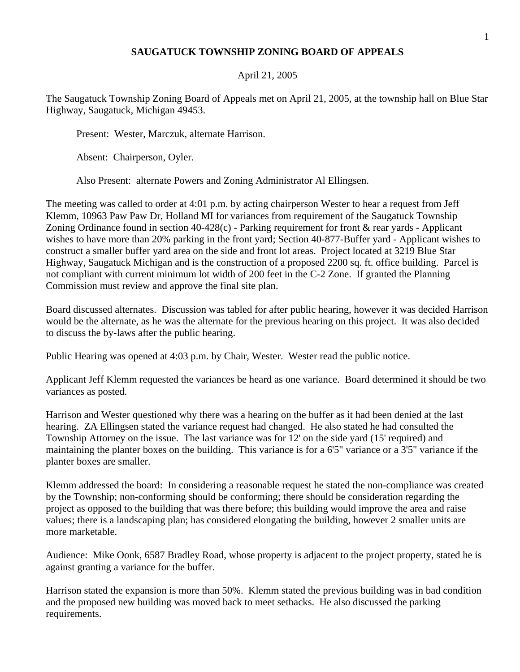## **SAUGATUCK TOWNSHIP ZONING BOARD OF APPEALS**

## April 21, 2005

The Saugatuck Township Zoning Board of Appeals met on April 21, 2005, at the township hall on Blue Star Highway, Saugatuck, Michigan 49453.

Present: Wester, Marczuk, alternate Harrison.

Absent: Chairperson, Oyler.

Also Present: alternate Powers and Zoning Administrator Al Ellingsen.

The meeting was called to order at 4:01 p.m. by acting chairperson Wester to hear a request from Jeff Klemm, 10963 Paw Paw Dr, Holland MI for variances from requirement of the Saugatuck Township Zoning Ordinance found in section  $40-428(c)$  - Parking requirement for front & rear yards - Applicant wishes to have more than 20% parking in the front yard; Section 40-877-Buffer yard - Applicant wishes to construct a smaller buffer yard area on the side and front lot areas. Project located at 3219 Blue Star Highway, Saugatuck Michigan and is the construction of a proposed 2200 sq. ft. office building. Parcel is not compliant with current minimum lot width of 200 feet in the C-2 Zone. If granted the Planning Commission must review and approve the final site plan.

Board discussed alternates. Discussion was tabled for after public hearing, however it was decided Harrison would be the alternate, as he was the alternate for the previous hearing on this project. It was also decided to discuss the by-laws after the public hearing.

Public Hearing was opened at 4:03 p.m. by Chair, Wester. Wester read the public notice.

Applicant Jeff Klemm requested the variances be heard as one variance. Board determined it should be two variances as posted.

Harrison and Wester questioned why there was a hearing on the buffer as it had been denied at the last hearing. ZA Ellingsen stated the variance request had changed. He also stated he had consulted the Township Attorney on the issue. The last variance was for 12' on the side yard (15' required) and maintaining the planter boxes on the building. This variance is for a 6'5" variance or a 3'5" variance if the planter boxes are smaller.

Klemm addressed the board: In considering a reasonable request he stated the non-compliance was created by the Township; non-conforming should be conforming; there should be consideration regarding the project as opposed to the building that was there before; this building would improve the area and raise values; there is a landscaping plan; has considered elongating the building, however 2 smaller units are more marketable.

Audience: Mike Oonk, 6587 Bradley Road, whose property is adjacent to the project property, stated he is against granting a variance for the buffer.

Harrison stated the expansion is more than 50%. Klemm stated the previous building was in bad condition and the proposed new building was moved back to meet setbacks. He also discussed the parking requirements.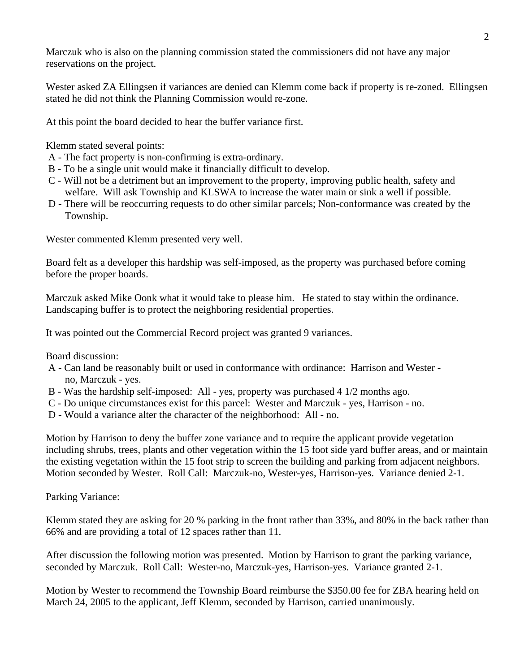Marczuk who is also on the planning commission stated the commissioners did not have any major reservations on the project.

Wester asked ZA Ellingsen if variances are denied can Klemm come back if property is re-zoned. Ellingsen stated he did not think the Planning Commission would re-zone.

At this point the board decided to hear the buffer variance first.

Klemm stated several points:

- A The fact property is non-confirming is extra-ordinary.
- B To be a single unit would make it financially difficult to develop.
- C Will not be a detriment but an improvement to the property, improving public health, safety and welfare. Will ask Township and KLSWA to increase the water main or sink a well if possible.
- D There will be reoccurring requests to do other similar parcels; Non-conformance was created by the Township.

Wester commented Klemm presented very well.

Board felt as a developer this hardship was self-imposed, as the property was purchased before coming before the proper boards.

Marczuk asked Mike Oonk what it would take to please him. He stated to stay within the ordinance. Landscaping buffer is to protect the neighboring residential properties.

It was pointed out the Commercial Record project was granted 9 variances.

Board discussion:

- A Can land be reasonably built or used in conformance with ordinance: Harrison and Wester no, Marczuk - yes.
- B Was the hardship self-imposed: All yes, property was purchased 4 1/2 months ago.
- C Do unique circumstances exist for this parcel: Wester and Marczuk yes, Harrison no.
- D Would a variance alter the character of the neighborhood: All no.

Motion by Harrison to deny the buffer zone variance and to require the applicant provide vegetation including shrubs, trees, plants and other vegetation within the 15 foot side yard buffer areas, and or maintain the existing vegetation within the 15 foot strip to screen the building and parking from adjacent neighbors. Motion seconded by Wester. Roll Call: Marczuk-no, Wester-yes, Harrison-yes. Variance denied 2-1.

Parking Variance:

Klemm stated they are asking for 20 % parking in the front rather than 33%, and 80% in the back rather than 66% and are providing a total of 12 spaces rather than 11.

After discussion the following motion was presented. Motion by Harrison to grant the parking variance, seconded by Marczuk. Roll Call: Wester-no, Marczuk-yes, Harrison-yes. Variance granted 2-1.

Motion by Wester to recommend the Township Board reimburse the \$350.00 fee for ZBA hearing held on March 24, 2005 to the applicant, Jeff Klemm, seconded by Harrison, carried unanimously.